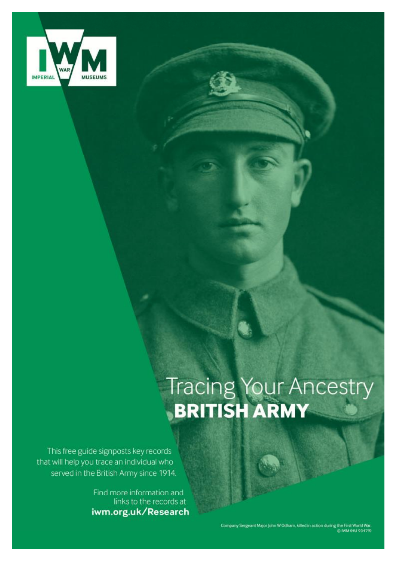

# Tracing Your Ancestry

This free guide signposts key records that will help you trace an individual who served in the British Army since 1914.

> Find more information and links to the records at iwm.org.uk/Research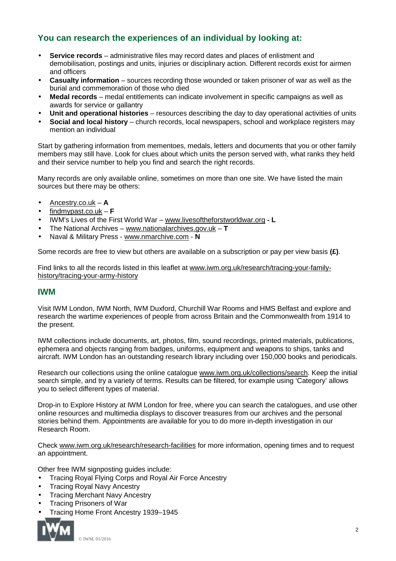# **You can research the experiences of an individual by looking at:**

- **Service records** administrative files may record dates and places of enlistment and t. demobilisation, postings and units, injuries or disciplinary action. Different records exist for airmen and officers
- **Casualty information** sources recording those wounded or taken prisoner of war as well as the burial and commemoration of those who died
- **Medal records** medal entitlements can indicate involvement in specific campaigns as well as awards for service or gallantry
- **Unit and operational histories** resources describing the day to day operational activities of units ÷.
- **Social and local history** church records, local newspapers, school and workplace registers may mention an individual

Start by gathering information from mementoes, medals, letters and documents that you or other family members may still have. Look for clues about which units the person served with, what ranks they held and their service number to help you find and search the right records.

Many records are only available online, sometimes on more than one site. We have listed the main sources but there may be others:

- Ancestry.co.uk **A**
- findmypast.co.uk **F**
- IWM's Lives of the First World War – [www.livesoftheforstworldwar.org](http://www.livesoftheforstworldwar.org) **L**
- The National Archives [www.nationalarchives.gov.uk](http://www.nationalarchives.gov.uk) *–* **T**
- Naval & Military Press [www.nmarchive.com](http://www.nmarchive.com)  **N**

Some records are free to view but others are available on a subscription or pay per view basis **(£)**.

Find links to all the records listed in this leaflet at [www.iwm.org.uk/research/tracing-your-family](http://www.iwm.org.uk/research/tracing-your-family)history/tracing-your-army-history

## **IWM**

Visit IWM London, IWM North, IWM Duxford, Churchill War Rooms and HMS Belfast and explore and research the wartime experiences of people from across Britain and the Commonwealth from 1914 to the present.

IWM collections include documents, art, photos, film, sound recordings, printed materials, publications, ephemera and objects ranging from badges, uniforms, equipment and weapons to ships, tanks and aircraft. IWM London has an outstanding research library including over 150,000 books and periodicals.

Research our collections using the online catalogue [www.iwm.org.uk/collections/search](http://www.iwm.org.uk/collections/search). Keep the initial search simple, and try a variety of terms. Results can be filtered, for example using 'Category' allows you to select different types of material.

Drop-in to Explore History at IWM London for free, where you can search the catalogues, and use other online resources and multimedia displays to discover treasures from our archives and the personal stories behind them. Appointments are available for you to do more in-depth investigation in our Research Room.

Check [www.iwm.org.uk/research/research-facilities](http://www.iwm.org.uk/research/research-facilities) for more information, opening times and to request an appointment.

Other free IWM signposting guides include:

- Tracing Royal Flying Corps and Royal Air Force Ancestry
- Tracing Royal Navy Ancestry
- Tracing Merchant Navy Ancestry  $\overline{a}$
- Tracing Prisoners of War
	- Tracing Home Front Ancestry 1939–1945

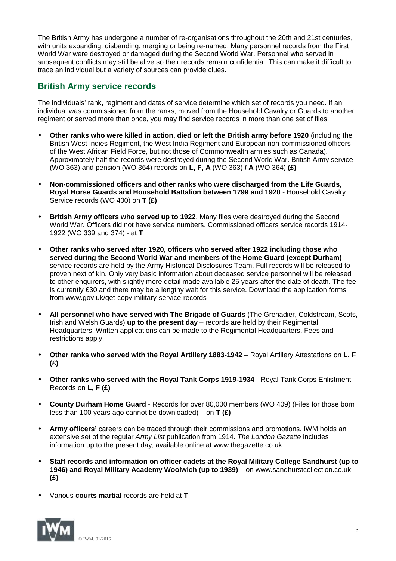The British Army has undergone a number of re-organisations throughout the 20th and 21st centuries, with units expanding, disbanding, merging or being re-named. Many personnel records from the First World War were destroyed or damaged during the Second World War. Personnel who served in subsequent conflicts may still be alive so their records remain confidential. This can make it difficult to trace an individual but a variety of sources can provide clues.

## **British Army service records**

The individuals' rank, regiment and dates of service determine which set of records you need. If an individual was commissioned from the ranks, moved from the Household Cavalry or Guards to another regiment or served more than once, you may find service records in more than one set of files.

- **Other ranks who were killed in action, died or left the British army before 1920** (including the British West Indies Regiment, the West India Regiment and European non-commissioned officers of the West African Field Force, but not those of Commonwealth armies such as Canada). Approximately half the records were destroyed during the Second World War. British Army service (WO 363) and pension (WO 364) records on **L, F, A** (WO 363) **/ A** (WO 364) **(£)**
- **Non-commissioned officers and other ranks who were discharged from the Life Guards,**  ä, **Royal Horse Guards and Household Battalion between 1799 and 1920** - Household Cavalry Service records (WO 400) on **T (£)**
- **British Army officers who served up to 1922**. Many files were destroyed during the Second World War. Officers did not have service numbers. Commissioned officers service records 1914- 1922 (WO 339 and 374) - at **T**
- **Other ranks who served after 1920, officers who served after 1922 including those who served during the Second World War and members of the Home Guard (except Durham)** – service records are held by the Army Historical Disclosures Team. Full records will be released to proven next of kin. Only very basic information about deceased service personnel will be released to other enquirers, with slightly more detail made available 25 years after the date of death. The fee is currently £30 and there may be a lengthy wait for this service. Download the application forms from [www.gov.uk/get-copy-military-service-records](http://www.gov.uk/get-copy-military-service-records)
- **All personnel who have served with The Brigade of Guards** (The Grenadier, Coldstream, Scots, Irish and Welsh Guards) **up to the present day** – records are held by their Regimental Headquarters. Written applications can be made to the Regimental Headquarters. Fees and restrictions apply.
- **Other ranks who served with the Royal Artillery 1883-1942** Royal Artillery Attestations on **L, F**  Ŷ. **(£)**
- **Other ranks who served with the Royal Tank Corps 1919-1934** Royal Tank Corps Enlistment Records on **L, F (£)**
- **County Durham Home Guard**  Records for over 80,000 members (WO 409) (Files for those born less than 100 years ago cannot be downloaded) – on **T (£)**
- **Army officers'** careers can be traced through their commissions and promotions. IWM holds an extensive set of the regular *Army List* publication from 1914. *The London Gazette* includes information up to the present day, available online at [www.thegazette.co.uk](http://www.thegazette.co.uk)
- **Staff records and information on officer cadets at the Royal Military College Sandhurst (up to 1946) and Royal Military Academy Woolwich (up to 1939)** – on [www.sandhurstcollection.co.uk](http://www.sandhurstcollection.co.uk) **(£)**
- Various **courts martial** records are held at **T**

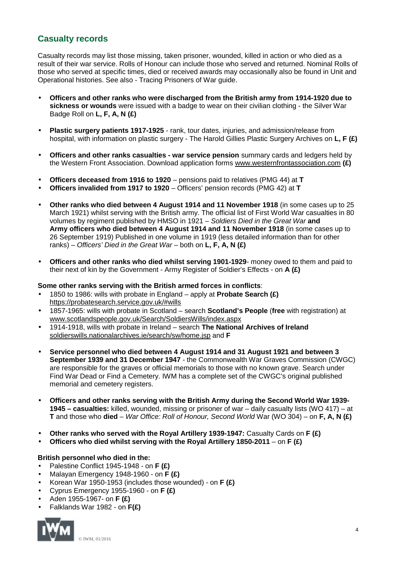## **Casualty records**

Casualty records may list those missing, taken prisoner, wounded, killed in action or who died as a result of their war service. Rolls of Honour can include those who served and returned. Nominal Rolls of those who served at specific times, died or received awards may occasionally also be found in Unit and Operational histories. See also - Tracing Prisoners of War guide.

- **Officers and other ranks who were discharged from the British army from 1914-1920 due to**   $\mathbf{r}$ **sickness or wounds** were issued with a badge to wear on their civilian clothing - the Silver War Badge Roll on **L, F, A, N (£)**
- **Plastic surgery patients 1917-1925**  rank, tour dates, injuries, and admission/release from hospital, with information on plastic surgery - The Harold Gillies Plastic Surgery Archives on **L, F (£)**
- **Officers and other ranks casualties - war service pension** summary cards and ledgers held by the Western Front Association. Download application forms [www.westernfrontassociation.com](http://www.westernfrontassociation.com) **(£)**
- **Officers deceased from 1916 to 1920** pensions paid to relatives (PMG 44) at **T**
- **Officers invalided from 1917 to 1920** Officers' pension records (PMG 42) at **T**
- **Other ranks who died between 4 August 1914 and 11 November 1918** (in some cases up to 25 March 1921) whilst serving with the British army. The official list of First World War casualties in 80 volumes by regiment published by HMSO in 1921 – *Soldiers Died in the Great War* **and Army officers who died between 4 August 1914 and 11 November 1918** (in some cases up to 26 September 1919) Published in one volume in 1919 (less detailed information than for other ranks) – *Officers' Died in the Great War* – both on **L, F, A, N (£)**
- **Officers and other ranks who died whilst serving 1901-1929** money owed to them and paid to their next of kin by the Government - Army Register of Soldier's Effects - on **A (£)**

#### **Some other ranks serving with the British armed forces in conflicts**:

- 1850 to 1986: wills with probate in England apply at **Probate Search (£)**  <https://probatesearch.service.gov.uk/#wills>
- 1857-1965: wills with probate in Scotland search **Scotland's People** (**free** with registration) at [www.scotlandspeople.gov.uk/Search/SoldiersWills/index.aspx](http://www.scotlandspeople.gov.uk/Search/SoldiersWills/index.aspx)
- 1914-1918, wills with probate in Ireland search **The National Archives of Ireland**  soldierswills.nationalarchives.ie/search/sw/home.jsp and **F**
- **Service personnel who died between 4 August 1914 and 31 August 1921 and between 3 September 1939 and 31 December 1947** - the Commonwealth War Graves Commission (CWGC) are responsible for the graves or official memorials to those with no known grave. Search under Find War Dead or Find a Cemetery. IWM has a complete set of the CWGC's original published memorial and cemetery registers.
- **Officers and other ranks serving with the British Army during the Second World War 1939** l, **1945 – casualties:** killed, wounded, missing or prisoner of war – daily casualty lists (WO 417) – at **T** and those who **died** – *War Office: Roll of Honour, Second World* War (WO 304) – on **F, A, N (£)**
- **Other ranks who served with the Royal Artillery 1939-1947:** Casualty Cards on **F (£)**
- **Officers who died whilst serving with the Royal Artillery 1850-2011** on **F (£)**

#### **British personnel who died in the:**

- Palestine Conflict 1945-1948 on **F (£)**
- Malayan Emergency 1948-1960 on **F (£)**
- Korean War 1950-1953 (includes those wounded) on **F (£)**
- Cyprus Emergency 1955-1960 on **F (£)**
- Aden 1955-1967- on **F (£)**
- Falklands War 1982 on **F(£)**

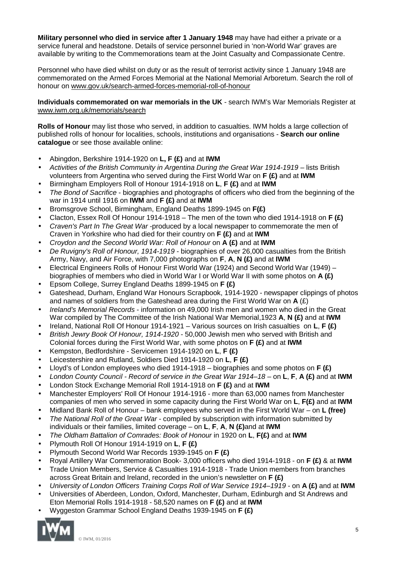**Military personnel who died in service after 1 January 1948** may have had either a private or a service funeral and headstone. Details of service personnel buried in 'non-World War' graves are available by writing to the Commemorations team at the Joint Casualty and Compassionate Centre.

Personnel who have died whilst on duty or as the result of terrorist activity since 1 January 1948 are commemorated on the Armed Forces Memorial at the National Memorial Arboretum. Search the roll of honour on [www.gov.uk/search-armed-forces-memorial-roll-of-honour](http://www.gov.uk/search-armed-forces-memorial-roll-of-honour)

**Individuals commemorated on war memorials in the UK** - search IWM's War Memorials Register at [www.iwm.org.uk/memorials/search](http://www.iwm.org.uk/memorials/search)

**Rolls of Honour** may list those who served, in addition to casualties. IWM holds a large collection of published rolls of honour for localities, schools, institutions and organisations - **Search our online catalogue** or see those available online:

- Abingdon, Berkshire 1914-1920 on **L, F (£)** and at **IWM**
- *Activities of the British Community in Argentina During the Great War 1914-1919* lists British volunteers from Argentina who served during the First World War on **F (£)** and at **IWM**
- Birmingham Employers Roll of Honour 1914-1918 on **L**, **F (£)** and at **IWM** J.
- *The Bond of Sacrifice* biographies and photographs of officers who died from the beginning of the war in 1914 until 1916 on **IWM** and **F (£)** and at **IWM**
- Bromsgrove School, Birmingham, England Deaths 1899-1945 on **F(£)**
- Clacton, Essex Roll Of Honour 1914-1918 The men of the town who died 1914-1918 on **F (£)**
- *Craven's Part In The Great War* -produced by a local newspaper to commemorate the men of Craven in Yorkshire who had died for their country on **F (£)** and at **IWM**
- *Croydon and the Second World War: Roll of Honour* on **A (£)** and at **IWM**
- *De Ruvigny's Roll of Honour, 1914-1919* biographies of over 26,000 casualties from the British Army, Navy, and Air Force, with 7,000 photographs on **F**, **A**, **N (£)** and at **IWM**
- Electrical Engineers Rolls of Honour First World War (1924) and Second World War (1949) biographies of members who died in World War I or World War II with some photos on **A (£)**
- Epsom College, Surrey England Deaths 1899-1945 on **F (£)**
- Gateshead, Durham, England War Honours Scrapbook, 1914-1920 newspaper clippings of photos and names of soldiers from the Gateshead area during the First World War on **A** (£)
- *Ireland's Memorial Records* information on 49,000 Irish men and women who died in the Great War compiled by The Committee of the Irish National War Memorial,1923 **A**, **N (£)** and at **IWM**
- Ireland, National Roll Of Honour 1914-1921 Various sources on Irish casualties on **L**, **F (£)** ä,
- *British Jewry Book Of Honour, 1914-1920* 50,000 Jewish men who served with British and Colonial forces during the First World War, with some photos on **F (£)** and at **IWM**
- Kempston, Bedfordshire Servicemen 1914-1920 on **L**, **F (£)**
- Leicestershire and Rutland, Soldiers Died 1914-1920 on **L**, **F (£)**
- Lloyd's of London employees who died 1914-1918 biographies and some photos on **F (£)**
- *London County Council - Record of service in the Great War 1914–18*  on **L**, **F**, **A (£)** and at **IWM**
- London Stock Exchange Memorial Roll 1914-1918 on **F (£)** and at **IWM**
- Manchester Employers' Roll Of Honour 1914-1916 more than 63,000 names from Manchester companies of men who served in some capacity during the First World War on **L**, **F(£)** and at **IWM**
- Midland Bank Roll of Honour bank employees who served in the First World War on **L (free)**
- *The National Roll of the Great War* compiled by subscription with information submitted by individuals or their families, limited coverage – on **L**, **F**, **A**, **N (£)**and at **IWM**
- *The Oldham Battalion of Comrades: Book of Honour* in 1920 on **L**, **F(£)** and at **IWM** J.
- Plymouth Roll Of Honour 1914-1919 on **L**, **F (£)**
- Plymouth Second World War Records 1939-1945 on **F (£)**
- Royal Artillery War Commemoration Book- 3,000 officers who died 1914-1918 on **F (£)** & at **IWM** J.
- Trade Union Members, Service & Casualties 1914-1918 Trade Union members from branches across Great Britain and Ireland, recorded in the union's newsletter on **F (£)**
- *University of London Officers Training Corps Roll of War Service 1914–1919* on **A (£)** and at **IWM**
- Universities of Aberdeen, London, Oxford, Manchester, Durham, Edinburgh and St Andrews and
- Eton Memorial Rolls 1914-1918 58,520 names on **F (£)** and at **IWM**
- Wyggeston Grammar School England Deaths 1939-1945 on **F (£)**

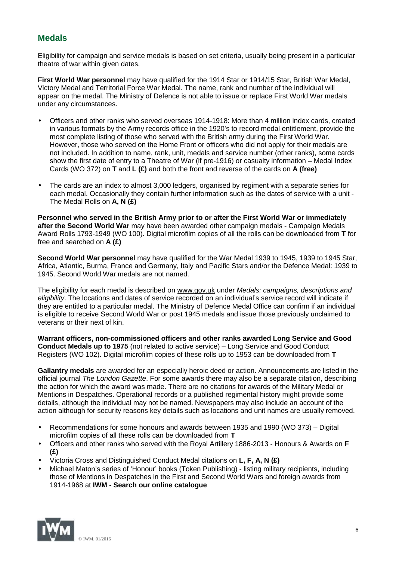# **Medals**

Eligibility for campaign and service medals is based on set criteria, usually being present in a particular theatre of war within given dates.

**First World War personnel** may have qualified for the 1914 Star or 1914/15 Star, British War Medal, Victory Medal and Territorial Force War Medal. The name, rank and number of the individual will appear on the medal. The Ministry of Defence is not able to issue or replace First World War medals under any circumstances.

- Officers and other ranks who served overseas 1914-1918: More than 4 million index cards, created in various formats by the Army records office in the 1920's to record medal entitlement, provide the most complete listing of those who served with the British army during the First World War. However, those who served on the Home Front or officers who did not apply for their medals are not included. In addition to name, rank, unit, medals and service number (other ranks), some cards show the first date of entry to a Theatre of War (if pre-1916) or casualty information – Medal Index Cards (WO 372) on **T** and **L (£)** and both the front and reverse of the cards on **A (free)**
- The cards are an index to almost 3,000 ledgers, organised by regiment with a separate series for each medal. Occasionally they contain further information such as the dates of service with a unit - The Medal Rolls on **A, N (£)**

**Personnel who served in the British Army prior to or after the First World War or immediately after the Second World War** may have been awarded other campaign medals - Campaign Medals Award Rolls 1793-1949 (WO 100). Digital microfilm copies of all the rolls can be downloaded from **T** for free and searched on **A (£)**

**Second World War personnel** may have qualified for the War Medal 1939 to 1945, 1939 to 1945 Star, Africa, Atlantic, Burma, France and Germany, Italy and Pacific Stars and/or the Defence Medal: 1939 to 1945. Second World War medals are not named.

The eligibility for each medal is described on [www.gov.uk](http://www.gov.uk) under *Medals: campaigns, descriptions and eligibility*. The locations and dates of service recorded on an individual's service record will indicate if they are entitled to a particular medal. The Ministry of Defence Medal Office can confirm if an individual is eligible to receive Second World War or post 1945 medals and issue those previously unclaimed to veterans or their next of kin.

**Warrant officers, non-commissioned officers and other ranks awarded Long Service and Good Conduct Medals up to 1975** (not related to active service) – Long Service and Good Conduct Registers (WO 102). Digital microfilm copies of these rolls up to 1953 can be downloaded from **T**

**Gallantry medals** are awarded for an especially heroic deed or action. Announcements are listed in the official journal *The London Gazette*. For some awards there may also be a separate citation, describing the action for which the award was made. There are no citations for awards of the Military Medal or Mentions in Despatches. Operational records or a published regimental history might provide some details, although the individual may not be named. Newspapers may also include an account of the action although for security reasons key details such as locations and unit names are usually removed.

- Recommendations for some honours and awards between 1935 and 1990 (WO 373) Digital J. microfilm copies of all these rolls can be downloaded from **T**
- Officers and other ranks who served with the Royal Artillery 1886-2013 Honours & Awards on **F (£)**
- Victoria Cross and Distinguished Conduct Medal citations on **L, F, A, N (£)**
- Michael Maton's series of 'Honour' books (Token Publishing) listing military recipients, including those of Mentions in Despatches in the First and Second World Wars and foreign awards from 1914-1968 at **IWM - Search our online catalogue**

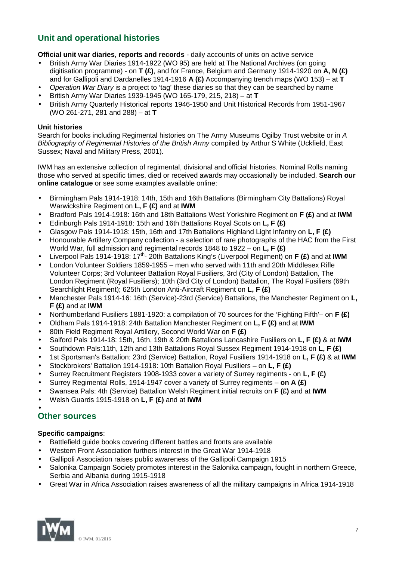# **Unit and operational histories**

**Official unit war diaries, reports and records** - daily accounts of units on active service

- British Army War Diaries 1914-1922 (WO 95) are held at The National Archives (on going digitisation programme) - on **T (£)**, and for France, Belgium and Germany 1914-1920 on **A, N (£)**  and for Gallipoli and Dardanelles 1914-1916 **A (£)** Accompanying trench maps (WO 153) – at **T**
- *Operation War Diary* is a project to 'tag' these diaries so that they can be searched by name
- British Army War Diaries 1939-1945 (WO 165-179, 215, 218) at **T**
- British Army Quarterly Historical reports 1946-1950 and Unit Historical Records from 1951-1967 (WO 261-271, 281 and 288) – at **T**

#### **Unit histories**

Search for books including Regimental histories on The Army Museums Ogilby Trust website or in *A Bibliography of Regimental Histories of the British Army* compiled by Arthur S White (Uckfield, East Sussex; Naval and Military Press, 2001).

IWM has an extensive collection of regimental, divisional and official histories. Nominal Rolls naming those who served at specific times, died or received awards may occasionally be included. **Search our online catalogue** or see some examples available online:

- Birmingham Pals 1914-1918: 14th, 15th and 16th Battalions (Birmingham City Battalions) Royal Warwickshire Regiment on **L, F (£)** and at **IWM**
- Bradford Pals 1914-1918: 16th and 18th Battalions West Yorkshire Regiment on **F (£)** and at **IWM** l,
- Edinburgh Pals 1914-1918: 15th and 16th Battalions Royal Scots on **L, F (£)**
- Glasgow Pals 1914-1918: 15th, 16th and 17th Battalions Highland Light Infantry on **L, F (£)**
- Honourable Artillery Company collection a selection of rare photographs of the HAC from the First World War, full admission and regimental records 1848 to 1922 – on **L, F (£)**
- Liverpool Pals 1914-1918: 17th 20th Battalions King's (Liverpool Regiment) on **F (£)** and at **IWM**
- London Volunteer Soldiers 1859-1955 men who served with 11th and 20th Middlesex Rifle Volunteer Corps; 3rd Volunteer Battalion Royal Fusiliers, 3rd (City of London) Battalion, The London Regiment (Royal Fusiliers); 10th (3rd City of London) Battalion, The Royal Fusiliers (69th Searchlight Regiment); 625th London Anti-Aircraft Regiment on **L, F (£)**
- Manchester Pals 1914-16: 16th (Service)-23rd (Service) Battalions, the Manchester Regiment on **L, F (£)** and at **IWM**
- Northumberland Fusiliers 1881-1920: a compilation of 70 sources for the 'Fighting Fifth'– on **F (£)**
- Oldham Pals 1914-1918: 24th Battalion Manchester Regiment on **L, F (£)** and at **IWM**
- 80th Field Regiment Royal Artillery, Second World War on **F (£)**
- Salford Pals 1914-18: 15th, 16th, 19th & 20th Battalions Lancashire Fusiliers on **L, F (£)** & at **IWM**
- Southdown Pals:11th, 12th and 13th Battalions Royal Sussex Regiment 1914-1918 on **L, F (£)**
- 1st Sportsman's Battalion: 23rd (Service) Battalion, Royal Fusiliers 1914-1918 on **L, F (£)** & at **IWM**
- Stockbrokers' Battalion 1914-1918: 10th Battalion Royal Fusiliers on **L, F (£)**
- Surrey Recruitment Registers 1908-1933 cover a variety of Surrey regiments on **L, F (£)**
- Surrey Regimental Rolls, 1914-1947 cover a variety of Surrey regiments **on A (£)**
- Swansea Pals: 4th (Service) Battalion Welsh Regiment initial recruits on **F (£)** and at **IWM**
- Welsh Guards 1915-1918 on **L, F (£)** and at **IWM**

## **Other sources**

#### **Specific campaigns**:

- Battlefield guide books covering different battles and fronts are available
- Western Front Association furthers interest in the Great War 1914-1918
- Gallipoli Association raises public awareness of the Gallipoli Campaign 1915
- Salonika Campaign Society promotes interest in the Salonika campaign**,** fought in northern Greece, Serbia and Albania during 1915-1918
- Great War in Africa Association raises awareness of all the military campaigns in Africa 1914-1918